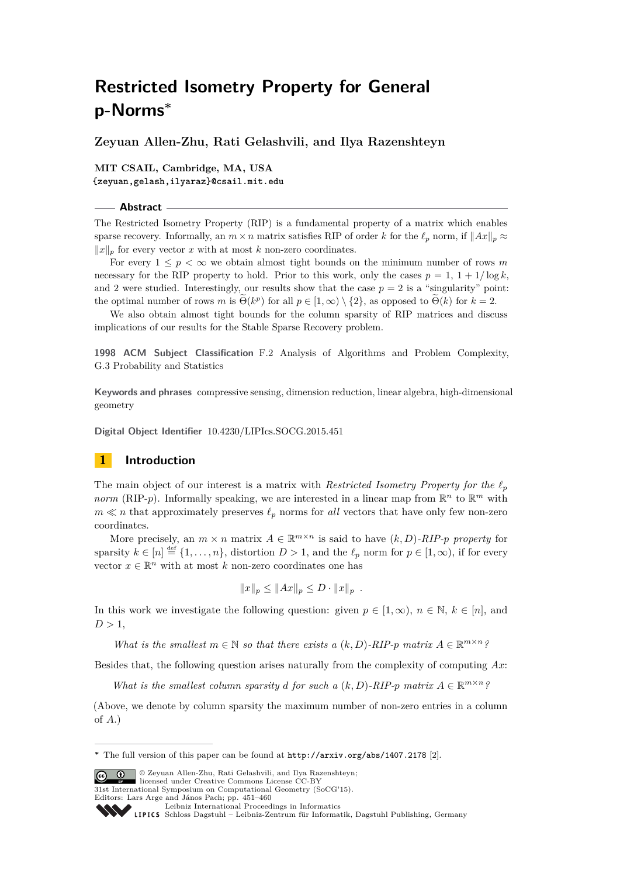**Zeyuan Allen-Zhu, Rati Gelashvili, and Ilya Razenshteyn**

**MIT CSAIL, Cambridge, MA, USA {zeyuan,gelash,ilyaraz}@csail.mit.edu**

## **Abstract**

The Restricted Isometry Property (RIP) is a fundamental property of a matrix which enables sparse recovery. Informally, an  $m \times n$  matrix satisfies RIP of order *k* for the  $\ell_p$  norm, if  $||Ax||_p \approx$  $||x||_p$  for every vector *x* with at most *k* non-zero coordinates.

For every  $1 \leq p < \infty$  we obtain almost tight bounds on the minimum number of rows m necessary for the RIP property to hold. Prior to this work, only the cases  $p = 1, 1 + 1/\log k$ , and 2 were studied. Interestingly, our results show that the case  $p = 2$  is a "singularity" point: the optimal number of rows *m* is  $\Theta(k^p)$  for all  $p \in [1, \infty) \setminus \{2\}$ , as opposed to  $\Theta(k)$  for  $k = 2$ .

We also obtain almost tight bounds for the column sparsity of RIP matrices and discuss implications of our results for the Stable Sparse Recovery problem.

**1998 ACM Subject Classification** F.2 Analysis of Algorithms and Problem Complexity, G.3 Probability and Statistics

**Keywords and phrases** compressive sensing, dimension reduction, linear algebra, high-dimensional geometry

**Digital Object Identifier** [10.4230/LIPIcs.SOCG.2015.451](http://dx.doi.org/10.4230/LIPIcs.SOCG.2015.451)

# **1 Introduction**

The main object of our interest is a matrix with *Restricted Isometry Property for the*  $\ell_p$ *norm* (RIP-*p*). Informally speaking, we are interested in a linear map from  $\mathbb{R}^n$  to  $\mathbb{R}^m$  with  $m \ll n$  that approximately preserves  $\ell_p$  norms for *all* vectors that have only few non-zero coordinates.

More precisely, an  $m \times n$  matrix  $A \in \mathbb{R}^{m \times n}$  is said to have  $(k, D)$ -RIP-p property for sparsity  $k \in [n] \stackrel{\text{def}}{=} \{1, \ldots, n\}$ , distortion  $D > 1$ , and the  $\ell_p$  norm for  $p \in [1, \infty)$ , if for every vector  $x \in \mathbb{R}^n$  with at most *k* non-zero coordinates one has

$$
||x||_p \le ||Ax||_p \le D \cdot ||x||_p .
$$

In this work we investigate the following question: given  $p \in [1, \infty)$ ,  $n \in \mathbb{N}$ ,  $k \in [n]$ , and  $D > 1$ ,

*What is the smallest*  $m \in \mathbb{N}$  *so that there exists* a  $(k, D)$ *-RIP-p matrix*  $A \in \mathbb{R}^{m \times n}$ ?

Besides that, the following question arises naturally from the complexity of computing *Ax*:

*What is the smallest column sparsity d for such a*  $(k, D)$ *-RIP-p matrix*  $A \in \mathbb{R}^{m \times n}$ *?* 

(Above, we denote by column sparsity the maximum number of non-zero entries in a column of *A*.)

© Zeyuan Allen-Zhu, Rati Gelashvili, and Ilya Razenshteyn; licensed under Creative Commons License CC-BY

31st International Symposium on Computational Geometry (SoCG'15).

**<sup>∗</sup>** The full version of this paper can be found at <http://arxiv.org/abs/1407.2178> [\[2\]](#page-8-0).

Editors: Lars Arge and János Pach; pp. 451[–460](#page-9-0)

[Leibniz International Proceedings in Informatics](http://www.dagstuhl.de/lipics/)

[Schloss Dagstuhl – Leibniz-Zentrum für Informatik, Dagstuhl Publishing, Germany](http://www.dagstuhl.de)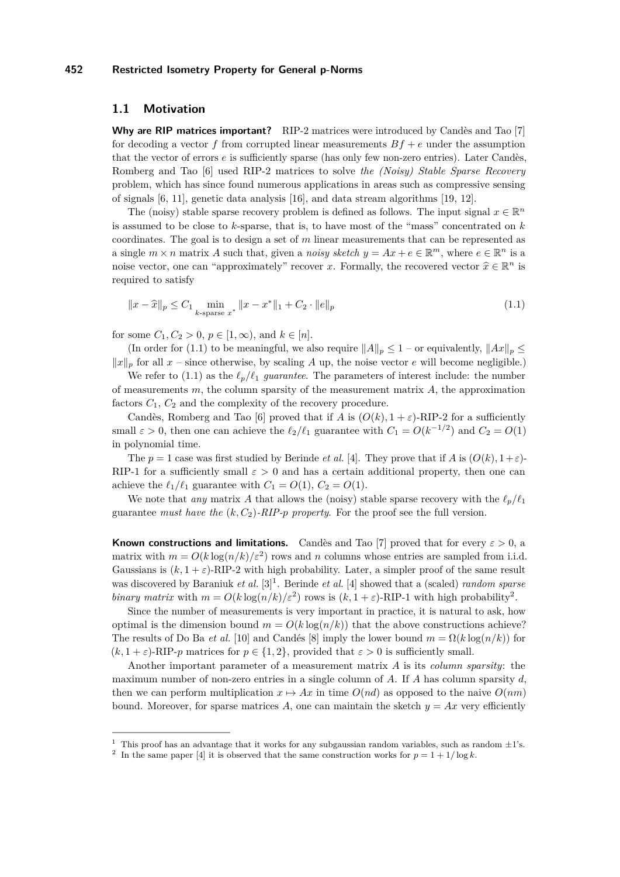## **1.1 Motivation**

**Why are RIP matrices important?** RIP-2 matrices were introduced by Candès and Tao [\[7\]](#page-9-1) for decoding a vector  $f$  from corrupted linear measurements  $Bf + e$  under the assumption that the vector of errors *e* is sufficiently sparse (has only few non-zero entries). Later Candès, Romberg and Tao [\[6\]](#page-9-2) used RIP-2 matrices to solve *the (Noisy) Stable Sparse Recovery* problem, which has since found numerous applications in areas such as compressive sensing of signals [\[6,](#page-9-2) [11\]](#page-9-3), genetic data analysis [\[16\]](#page-9-4), and data stream algorithms [\[19,](#page-9-5) [12\]](#page-9-6).

The (noisy) stable sparse recovery problem is defined as follows. The input signal  $x \in \mathbb{R}^n$ is assumed to be close to *k*-sparse, that is, to have most of the "mass" concentrated on *k* coordinates. The goal is to design a set of *m* linear measurements that can be represented as a single  $m \times n$  matrix *A* such that, given a *noisy sketch*  $y = Ax + e \in \mathbb{R}^m$ , where  $e \in \mathbb{R}^n$  is a noise vector, one can "approximately" recover *x*. Formally, the recovered vector  $\hat{x} \in \mathbb{R}^n$  is negatively to exist, required to satisfy

<span id="page-1-0"></span>
$$
||x - \hat{x}||_p \le C_1 \min_{k \text{-sparse } x^*} ||x - x^*||_1 + C_2 \cdot ||e||_p \tag{1.1}
$$

for some  $C_1, C_2 > 0, p \in [1, \infty)$ , and  $k \in [n]$ .

(In order for [\(1.1\)](#page-1-0) to be meaningful, we also require  $||A||_p \leq 1$  – or equivalently,  $||Ax||_p \leq$  $||x||_p$  for all  $x$  – since otherwise, by scaling *A* up, the noise vector *e* will become negligible.)

We refer to [\(1.1\)](#page-1-0) as the  $\ell_p/\ell_1$  *guarantee*. The parameters of interest include: the number of measurements *m*, the column sparsity of the measurement matrix *A*, the approximation factors  $C_1$ ,  $C_2$  and the complexity of the recovery procedure.

Candès, Romberg and Tao [\[6\]](#page-9-2) proved that if *A* is  $(O(k), 1 + \varepsilon)$ -RIP-2 for a sufficiently small  $\varepsilon > 0$ , then one can achieve the  $\ell_2/\ell_1$  guarantee with  $C_1 = O(k^{-1/2})$  and  $C_2 = O(1)$ in polynomial time.

The  $p = 1$  case was first studied by Berinde *et al.* [\[4\]](#page-8-1). They prove that if *A* is  $(O(k), 1+\varepsilon)$ -RIP-1 for a sufficiently small  $\varepsilon > 0$  and has a certain additional property, then one can achieve the  $\ell_1/\ell_1$  guarantee with  $C_1 = O(1), C_2 = O(1)$ .

We note that *any* matrix A that allows the (noisy) stable sparse recovery with the  $\ell_p/\ell_1$ guarantee *must have the*  $(k, C_2)$ *-RIP-p property*. For the proof see the full version.

**Known constructions and limitations.** Candès and Tao [\[7\]](#page-9-1) proved that for every  $\varepsilon > 0$ , a matrix with  $m = O(k \log(n/k)/\varepsilon^2)$  rows and *n* columns whose entries are sampled from i.i.d. Gaussians is  $(k, 1 + \varepsilon)$ -RIP-2 with high probability. Later, a simpler proof of the same result was discovered by Baraniuk *et al.* [\[3\]](#page-8-2) [1](#page-1-1) . Berinde *et al.* [\[4\]](#page-8-1) showed that a (scaled) *random sparse binary matrix* with  $m = O(k \log(n/k)/\epsilon^2)$  $m = O(k \log(n/k)/\epsilon^2)$  $m = O(k \log(n/k)/\epsilon^2)$  rows is  $(k, 1 + \epsilon)$ -RIP-1 with high probability<sup>2</sup>.

Since the number of measurements is very important in practice, it is natural to ask, how optimal is the dimension bound  $m = O(k \log(n/k))$  that the above constructions achieve? The results of Do Ba *et al.* [\[10\]](#page-9-7) and Candés [\[8\]](#page-9-8) imply the lower bound  $m = \Omega(k \log(n/k))$  for  $(k, 1 + \varepsilon)$ -RIP-*p* matrices for  $p \in \{1, 2\}$ , provided that  $\varepsilon > 0$  is sufficiently small.

Another important parameter of a measurement matrix *A* is its *column sparsity*: the maximum number of non-zero entries in a single column of *A*. If *A* has column sparsity *d*, then we can perform multiplication  $x \mapsto Ax$  in time  $O(nd)$  as opposed to the naive  $O(nm)$ bound. Moreover, for sparse matrices A, one can maintain the sketch  $y = Ax$  very efficiently

<span id="page-1-1"></span><sup>&</sup>lt;sup>1</sup> This proof has an advantage that it works for any subgaussian random variables, such as random  $\pm 1$ 's.

<span id="page-1-2"></span><sup>&</sup>lt;sup>2</sup> In the same paper [\[4\]](#page-8-1) it is observed that the same construction works for  $p = 1 + 1/\log k$ .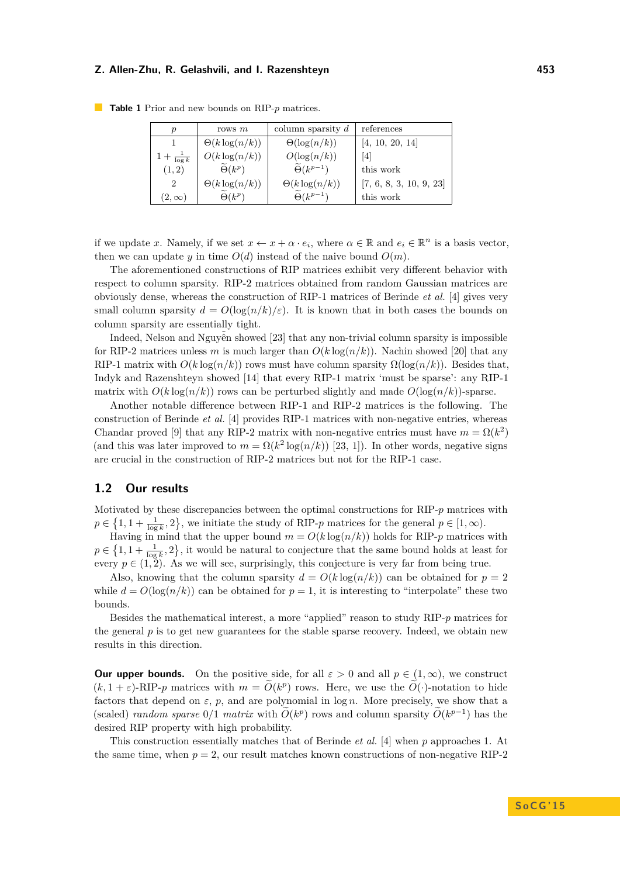| $\boldsymbol{p}$    | rows $m$                  | column sparsity $d$           | references              |
|---------------------|---------------------------|-------------------------------|-------------------------|
|                     | $\Theta(k \log(n/k))$     | $\Theta(\log(n/k))$           | [4, 10, 20, 14]         |
| $+\frac{1}{\log k}$ | $O(k \log(n/k))$          | $O(\log(n/k))$                | [4]                     |
| (1, 2)              | $\widetilde{\Theta}(k^p)$ | $\widetilde{\Theta}(k^{p-1})$ | this work               |
| $\overline{2}$      | $\Theta(k \log(n/k))$     | $\Theta(k \log(n/k))$         | [7, 6, 8, 3, 10, 9, 23] |
| $(2,\infty)$        | $\widetilde{\Theta}(k^p)$ | $\widetilde{\Theta}(k^{p-1})$ | this work               |

**Table 1** Prior and new bounds on RIP-*p* matrices.

if we update *x*. Namely, if we set  $x \leftarrow x + \alpha \cdot e_i$ , where  $\alpha \in \mathbb{R}$  and  $e_i \in \mathbb{R}^n$  is a basis vector, then we can update *y* in time  $O(d)$  instead of the naive bound  $O(m)$ .

The aforementioned constructions of RIP matrices exhibit very different behavior with respect to column sparsity. RIP-2 matrices obtained from random Gaussian matrices are obviously dense, whereas the construction of RIP-1 matrices of Berinde *et al.* [\[4\]](#page-8-1) gives very small column sparsity  $d = O(\log(n/k)/\varepsilon)$ . It is known that in both cases the bounds on column sparsity are essentially tight.

Indeed, Nelson and Nguyễn showed [\[23\]](#page-9-12) that any non-trivial column sparsity is impossible for RIP-2 matrices unless *m* is much larger than  $O(k \log(n/k))$ . Nachin showed [\[20\]](#page-9-9) that any RIP-1 matrix with  $O(k \log(n/k))$  rows must have column sparsity  $\Omega(\log(n/k))$ . Besides that, Indyk and Razenshteyn showed [\[14\]](#page-9-10) that every RIP-1 matrix 'must be sparse': any RIP-1 matrix with  $O(k \log(n/k))$  rows can be perturbed slightly and made  $O(\log(n/k))$ -sparse.

Another notable difference between RIP-1 and RIP-2 matrices is the following. The construction of Berinde *et al.* [\[4\]](#page-8-1) provides RIP-1 matrices with non-negative entries, whereas Chandar proved [\[9\]](#page-9-11) that any RIP-2 matrix with non-negative entries must have  $m = \Omega(k^2)$ (and this was later improved to  $m = \Omega(k^2 \log(n/k))$  [\[23,](#page-9-12) [1\]](#page-8-3)). In other words, negative signs are crucial in the construction of RIP-2 matrices but not for the RIP-1 case.

## **1.2 Our results**

Motivated by these discrepancies between the optimal constructions for RIP-*p* matrices with  $p \in \{1, 1 + \frac{1}{\log k}, 2\}$ , we initiate the study of RIP-*p* matrices for the general  $p \in [1, \infty)$ .

Having in mind that the upper bound  $m = O(k \log(n/k))$  holds for RIP-*p* matrices with  $p \in \left\{1, 1 + \frac{1}{\log k}, 2\right\}$ , it would be natural to conjecture that the same bound holds at least for every  $p \in (1, 2)$ . As we will see, surprisingly, this conjecture is very far from being true.

Also, knowing that the column sparsity  $d = O(k \log(n/k))$  can be obtained for  $p = 2$ while  $d = O(\log(n/k))$  can be obtained for  $p = 1$ , it is interesting to "interpolate" these two bounds.

Besides the mathematical interest, a more "applied" reason to study RIP-*p* matrices for the general  $p$  is to get new guarantees for the stable sparse recovery. Indeed, we obtain new results in this direction.

**Our upper bounds.** On the positive side, for all  $\varepsilon > 0$  and all  $p \in (1, \infty)$ , we construct  $(k, 1 + \varepsilon)$ -RIP-*p* matrices with  $m = \tilde{O}(k^p)$  rows. Here, we use the  $\tilde{O}(\cdot)$ -notation to hide factors that depend on  $\varepsilon$ ,  $p$ , and are polynomial in log  $n$ . More precisely, we show that a (scaled) *random sparse*  $0/1$  *matrix* with  $\tilde{O}(k^p)$  rows and column sparsity  $\tilde{O}(k^{p-1})$  has the desired RIP property with high probability.

This construction essentially matches that of Berinde *et al.* [\[4\]](#page-8-1) when *p* approaches 1. At the same time, when  $p = 2$ , our result matches known constructions of non-negative RIP-2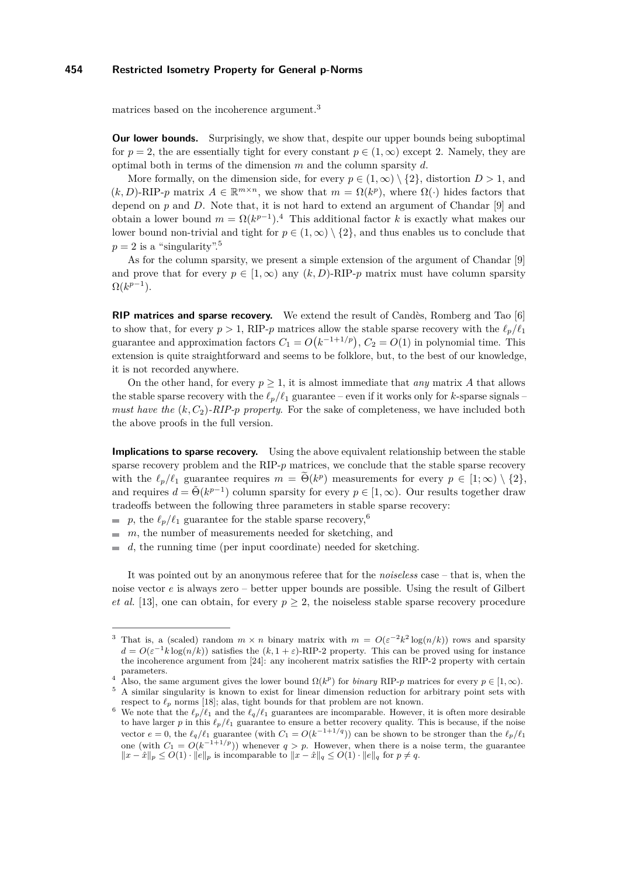matrices based on the incoherence argument.<sup>[3](#page-3-0)</sup>

**Our lower bounds.** Surprisingly, we show that, despite our upper bounds being suboptimal for  $p = 2$ , the are essentially tight for every constant  $p \in (1, \infty)$  except 2. Namely, they are optimal both in terms of the dimension *m* and the column sparsity *d*.

More formally, on the dimension side, for every  $p \in (1,\infty) \setminus \{2\}$ , distortion  $D > 1$ , and  $(k, D)$ -RIP-*p* matrix  $A \in \mathbb{R}^{m \times n}$ , we show that  $m = \Omega(k^p)$ , where  $\Omega(\cdot)$  hides factors that depend on  $p$  and  $D$ . Note that, it is not hard to extend an argument of Chandar  $[9]$  and obtain a lower bound  $m = \Omega(k^{p-1})$ .<sup>[4](#page-3-1)</sup> This additional factor *k* is exactly what makes our lower bound non-trivial and tight for  $p \in (1,\infty) \setminus \{2\}$ , and thus enables us to conclude that  $p = 2$  is a "singularity".<sup>[5](#page-3-2)</sup>

As for the column sparsity, we present a simple extension of the argument of Chandar [\[9\]](#page-9-11) and prove that for every  $p \in [1,\infty)$  any  $(k, D)$ -RIP- $p$  matrix must have column sparsity  $\Omega(k^{p-1}).$ 

**RIP matrices and sparse recovery.** We extend the result of Candès, Romberg and Tao [\[6\]](#page-9-2) to show that, for every  $p > 1$ , RIP-*p* matrices allow the stable sparse recovery with the  $\ell_p/\ell_1$ guarantee and approximation factors  $C_1 = O(k^{-1+1/p})$ ,  $C_2 = O(1)$  in polynomial time. This extension is quite straightforward and seems to be folklore, but, to the best of our knowledge, it is not recorded anywhere.

On the other hand, for every  $p \geq 1$ , it is almost immediate that *any* matrix A that allows the stable sparse recovery with the  $\ell_p/\ell_1$  guarantee – even if it works only for *k*-sparse signals – *must have the*  $(k, C_2)$ -*RIP-p property*. For the sake of completeness, we have included both the above proofs in the full version.

**Implications to sparse recovery.** Using the above equivalent relationship between the stable sparse recovery problem and the RIP- $p$  matrices, we conclude that the stable sparse recovery with the  $\ell_p/\ell_1$  guarantee requires  $m = \Theta(k^p)$  measurements for every  $p \in [1, \infty) \setminus \{2\},$ and requires  $d = \tilde{\Theta}(k^{p-1})$  column sparsity for every  $p \in [1,\infty)$ . Our results together draw tradeoffs between the following three parameters in stable sparse recovery:

p, the  $\ell_p/\ell_1$  guarantee for the stable sparse recovery,<sup>[6](#page-3-3)</sup>

 $m$ , the number of measurements needed for sketching, and

 $\blacksquare$  *d*, the running time (per input coordinate) needed for sketching.

It was pointed out by an anonymous referee that for the *noiseless* case – that is, when the noise vector *e* is always zero – better upper bounds are possible. Using the result of Gilbert *et al.* [\[13\]](#page-9-13), one can obtain, for every  $p \geq 2$ , the noiseless stable sparse recovery procedure

<span id="page-3-1"></span><sup>4</sup> Also, the same argument gives the lower bound  $\Omega(k^p)$  for *binary* RIP-*p* matrices for every  $p \in [1, \infty)$ .

<span id="page-3-0"></span><sup>&</sup>lt;sup>3</sup> That is, a (scaled) random  $m \times n$  binary matrix with  $m = O(\varepsilon^{-2}k^2 \log(n/k))$  rows and sparsity  $d = O(\varepsilon^{-1} k \log(n/k))$  satisfies the  $(k, 1 + \varepsilon)$ -RIP-2 property. This can be proved using for instance the incoherence argument from [\[24\]](#page-9-14): any incoherent matrix satisfies the RIP-2 property with certain parameters.

<span id="page-3-2"></span><sup>5</sup> A similar singularity is known to exist for linear dimension reduction for arbitrary point sets with respect to  $\ell_p$  norms [\[18\]](#page-9-15); alas, tight bounds for that problem are not known.

<span id="page-3-3"></span><sup>&</sup>lt;sup>6</sup> We note that the  $\ell_p/\ell_1$  and the  $\ell_q/\ell_1$  guarantees are incomparable. However, it is often more desirable to have larger *p* in this  $\ell_p/\ell_1$  guarantee to ensure a better recovery quality. This is because, if the noise vector  $e = 0$ , the  $\ell_q/\ell_1$  guarantee (with  $C_1 = O(k^{-1+1/q})$ ) can be shown to be stronger than the  $\ell_p/\ell_1$ one (with  $C_1 = O(k^{-1+1/p})$ ) whenever  $q > p$ . However, when there is a noise term, the guarantee *k k* −  $\hat{x}$ <sup>*k*</sup> $|p \le O(1) \cdot ||e||_p$  is incomparable to  $||x - \hat{x}||_q \le O(1) \cdot ||e||_q$  for  $p \ne q$ .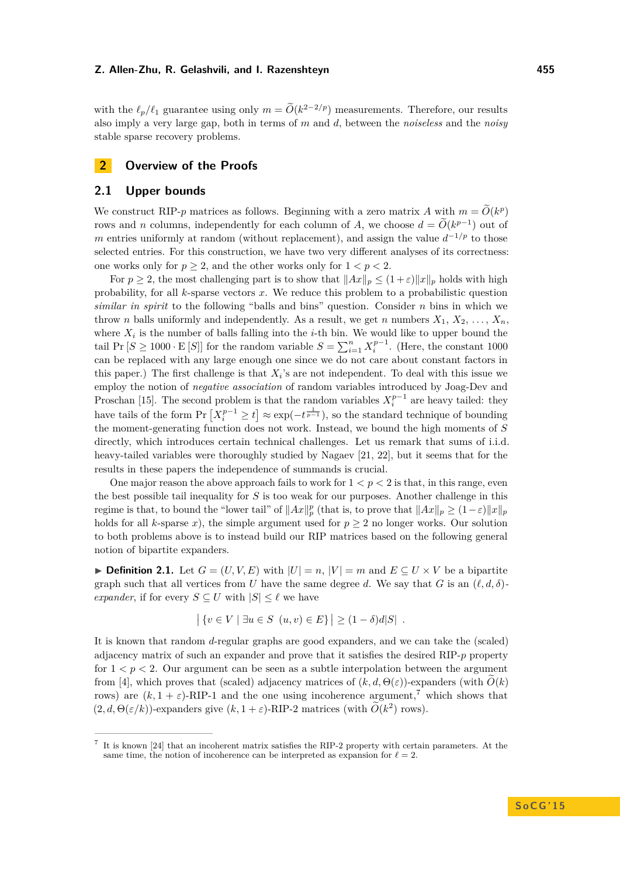with the  $\ell_p/\ell_1$  guarantee using only  $m = \widetilde{O}(k^{2-2/p})$  measurements. Therefore, our results also imply a very large gap, both in terms of *m* and *d*, between the *noiseless* and the *noisy* stable sparse recovery problems.

## **2 Overview of the Proofs**

## **2.1 Upper bounds**

We construct RIP-*p* matrices as follows. Beginning with a zero matrix *A* with  $m = \tilde{O}(k^p)$ rows and *n* columns, independently for each column of *A*, we choose  $d = \tilde{O}(k^{p-1})$  out of *m* entries uniformly at random (without replacement), and assign the value  $d^{-1/p}$  to those selected entries. For this construction, we have two very different analyses of its correctness: one works only for  $p \geq 2$ , and the other works only for  $1 < p < 2$ .

For  $p \geq 2$ , the most challenging part is to show that  $||Ax||_p \leq (1+\varepsilon)||x||_p$  holds with high probability, for all *k*-sparse vectors *x*. We reduce this problem to a probabilistic question *similar in spirit* to the following "balls and bins" question. Consider *n* bins in which we throw *n* balls uniformly and independently. As a result, we get *n* numbers  $X_1, X_2, \ldots, X_n$ . where  $X_i$  is the number of balls falling into the *i*-th bin. We would like to upper bound the tail Pr  $[S \ge 1000 \cdot E[S]]$  for the random variable  $S = \sum_{i=1}^{n} X_i^{p-1}$ . (Here, the constant 1000 can be replaced with any large enough one since we do not care about constant factors in this paper.) The first challenge is that  $X_i$ 's are not independent. To deal with this issue we employ the notion of *negative association* of random variables introduced by Joag-Dev and Proschan [\[15\]](#page-9-16). The second problem is that the random variables  $X_i^{p-1}$  are heavy tailed: they have tails of the form  $Pr\left[X_i^{p-1} \ge t\right] \approx \exp(-t^{\frac{1}{p-1}})$ , so the standard technique of bounding the moment-generating function does not work. Instead, we bound the high moments of *S* directly, which introduces certain technical challenges. Let us remark that sums of i.i.d. heavy-tailed variables were thoroughly studied by Nagaev [\[21,](#page-9-17) [22\]](#page-9-18), but it seems that for the results in these papers the independence of summands is crucial.

One major reason the above approach fails to work for  $1 < p < 2$  is that, in this range, even the best possible tail inequality for *S* is too weak for our purposes. Another challenge in this regime is that, to bound the "lower tail" of  $||Ax||_p^p$  (that is, to prove that  $||Ax||_p \ge (1-\varepsilon)||x||_p$ holds for all *k*-sparse *x*), the simple argument used for  $p \ge 2$  no longer works. Our solution to both problems above is to instead build our RIP matrices based on the following general notion of bipartite expanders.

<span id="page-4-1"></span>▶ **Definition 2.1.** Let  $G = (U, V, E)$  with  $|U| = n$ ,  $|V| = m$  and  $E \subseteq U \times V$  be a bipartite graph such that all vertices from *U* have the same degree *d*. We say that *G* is an  $(\ell, d, \delta)$ *expander*, if for every  $S \subseteq U$  with  $|S| \leq \ell$  we have

$$
\left| \{ v \in V \mid \exists u \in S \ (u, v) \in E \} \right| \geq (1 - \delta)d|S|.
$$

It is known that random *d*-regular graphs are good expanders, and we can take the (scaled) adjacency matrix of such an expander and prove that it satisfies the desired RIP-*p* property for  $1 < p < 2$ . Our argument can be seen as a subtle interpolation between the argument from [\[4\]](#page-8-1), which proves that (scaled) adjacency matrices of  $(k, d, \Theta(\varepsilon))$ -expanders (with  $\tilde{O}(k)$ ) rows) are  $(k, 1 + \varepsilon)$ -RIP-1 and the one using incoherence argument,<sup>[7](#page-4-0)</sup> which shows that  $(2,d,\Theta(\varepsilon/k))$ -expanders give  $(k,1+\varepsilon)$ -RIP-2 matrices (with  $\tilde{O}(k^2)$  rows).

<span id="page-4-0"></span><sup>7</sup> It is known [\[24\]](#page-9-14) that an incoherent matrix satisfies the RIP-2 property with certain parameters. At the same time, the notion of incoherence can be interpreted as expansion for  $\ell = 2$ .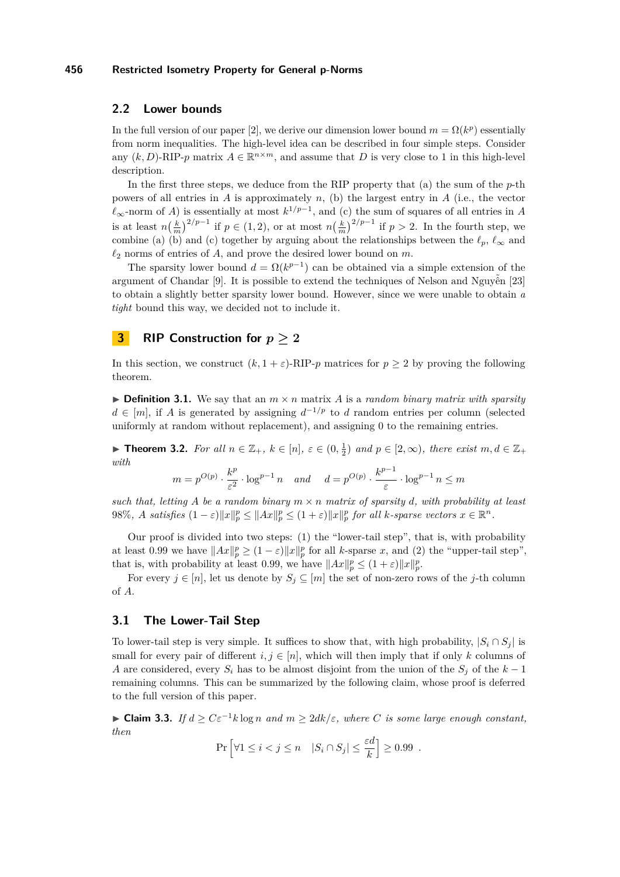## **2.2 Lower bounds**

In the full version of our paper [\[2\]](#page-8-0), we derive our dimension lower bound  $m = \Omega(k^p)$  essentially from norm inequalities. The high-level idea can be described in four simple steps. Consider any  $(k, D)$ -RIP-*p* matrix  $A \in \mathbb{R}^{n \times m}$ , and assume that *D* is very close to 1 in this high-level description.

In the first three steps, we deduce from the RIP property that (a) the sum of the *p*-th powers of all entries in  $A$  is approximately  $n$ , (b) the largest entry in  $A$  (i.e., the vector  $\ell_{\infty}$ -norm of *A*) is essentially at most  $k^{1/p-1}$ , and (c) the sum of squares of all entries in *A* is at least  $n(\frac{k}{m})^{2/p-1}$  if  $p \in (1,2)$ , or at most  $n(\frac{k}{m})^{2/p-1}$  if  $p > 2$ . In the fourth step, we combine (a) (b) and (c) together by arguing about the relationships between the  $\ell_p$ ,  $\ell_{\infty}$  and  $\ell_2$  norms of entries of *A*, and prove the desired lower bound on *m*.

The sparsity lower bound  $d = \Omega(k^{p-1})$  can be obtained via a simple extension of the argument of Chandar [\[9\]](#page-9-11). It is possible to extend the techniques of Nelson and Nguyễn [\[23\]](#page-9-12) to obtain a slightly better sparsity lower bound. However, since we were unable to obtain *a tight* bound this way, we decided not to include it.

## **3 RIP Construction for**  $p \geq 2$

In this section, we construct  $(k, 1 + \varepsilon)$ -RIP-*p* matrices for  $p \ge 2$  by proving the following theorem.

 $\triangleright$  **Definition 3.1.** We say that an  $m \times n$  matrix *A* is a *random binary matrix with sparsity d* ∈ [*m*], if *A* is generated by assigning  $d^{-1/p}$  to *d* random entries per column (selected uniformly at random without replacement), and assigning 0 to the remaining entries.

<span id="page-5-1"></span>▶ **Theorem 3.2.** *For all*  $n \in \mathbb{Z}_+$ *,*  $k \in [n]$ *,*  $\varepsilon \in (0, \frac{1}{2})$  *and*  $p \in [2, \infty)$ *, there exist*  $m, d \in \mathbb{Z}_+$ *with*

$$
m = p^{O(p)} \cdot \frac{k^p}{\varepsilon^2} \cdot \log^{p-1} n \quad and \quad d = p^{O(p)} \cdot \frac{k^{p-1}}{\varepsilon} \cdot \log^{p-1} n \le m
$$

such that, letting A be a random binary  $m \times n$  matrix of sparsity d, with probability at least 98%, A satisfies  $(1 - \varepsilon) ||x||_p^p \le ||Ax||_p^p \le (1 + \varepsilon) ||x||_p^p$  for all k-sparse vectors  $x \in \mathbb{R}^n$ .

Our proof is divided into two steps: (1) the "lower-tail step", that is, with probability at least 0.99 we have  $||Ax||_p^p \ge (1 - \varepsilon) ||x||_p^p$  for all *k*-sparse *x*, and (2) the "upper-tail step", that is, with probability at least 0.99, we have  $||Ax||_p^p \le (1+\varepsilon)||x||_p^p$ .

For every  $j \in [n]$ , let us denote by  $S_j \subseteq [m]$  the set of non-zero rows of the *j*-th column of *A*.

## **3.1 The Lower-Tail Step**

To lower-tail step is very simple. It suffices to show that, with high probability,  $|S_i \cap S_j|$  is small for every pair of different  $i, j \in [n]$ , which will then imply that if only k columns of *A* are considered, every  $S_i$  has to be almost disjoint from the union of the  $S_i$  of the  $k-1$ remaining columns. This can be summarized by the following claim, whose proof is deferred to the full version of this paper.

<span id="page-5-0"></span> $\blacktriangleright$  **Claim 3.3.** *If d* ≥  $C\varepsilon^{-1}$ *k* log *n and m* ≥ 2*dk*/ $\varepsilon$ *, where C is some large enough constant, then*

$$
\Pr\left[\forall 1 \le i < j \le n \quad |S_i \cap S_j| \le \frac{\varepsilon d}{k}\right] \ge 0.99.
$$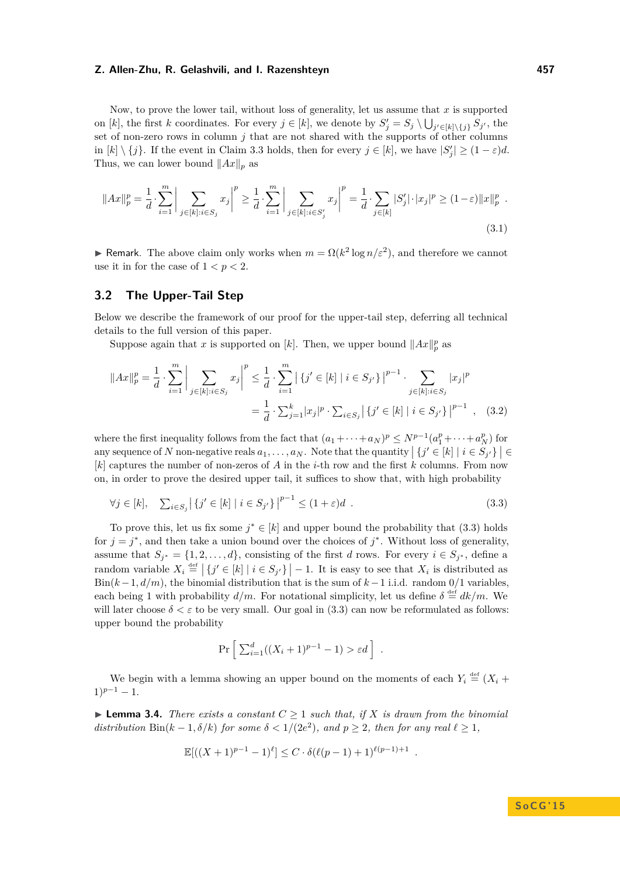Now, to prove the lower tail, without loss of generality, let us assume that *x* is supported on [*k*], the first *k* coordinates. For every  $j \in [k]$ , we denote by  $S'_j = S_j \setminus \bigcup_{j' \in [k] \setminus \{j\}} S_{j'}$ , the set of non-zero rows in column *j* that are not shared with the supports of other columns in  $[k] \setminus \{j\}$ . If the event in Claim [3.3](#page-5-0) holds, then for every  $j \in [k]$ , we have  $|S'_j| \geq (1 - \varepsilon)d$ . Thus, we can lower bound  $||Ax||_p$  as

$$
||Ax||_p^p = \frac{1}{d} \cdot \sum_{i=1}^m \left| \sum_{j \in [k]: i \in S_j} x_j \right|^p \ge \frac{1}{d} \cdot \sum_{i=1}^m \left| \sum_{j \in [k]: i \in S'_j} x_j \right|^p = \frac{1}{d} \cdot \sum_{j \in [k]} |S'_j| \cdot |x_j|^p \ge (1 - \varepsilon) ||x||_p^p \tag{3.1}
$$

**► Remark**. The above claim only works when  $m = \Omega(k^2 \log n/\varepsilon^2)$ , and therefore we cannot use it in for the case of  $1 < p < 2$ .

## **3.2 The Upper-Tail Step**

Below we describe the framework of our proof for the upper-tail step, deferring all technical details to the full version of this paper.

Suppose again that *x* is supported on [*k*]. Then, we upper bound  $||Ax||_p^p$  as

$$
||Ax||_p^p = \frac{1}{d} \cdot \sum_{i=1}^m \left| \sum_{j \in [k]: i \in S_j} x_j \right|^p \le \frac{1}{d} \cdot \sum_{i=1}^m \left| \{j' \in [k] \mid i \in S_{j'}\} \right|^{p-1} \cdot \sum_{j \in [k]: i \in S_j} |x_j|^p
$$

$$
= \frac{1}{d} \cdot \sum_{j=1}^k |x_j|^p \cdot \sum_{i \in S_j} \left| \{j' \in [k] \mid i \in S_{j'}\} \right|^{p-1}, \quad (3.2)
$$

where the first inequality follows from the fact that  $(a_1 + \cdots + a_N)^p \le N^{p-1}(a_1^p + \cdots + a_N^p)$  for any sequence of *N* non-negative reals  $a_1, \ldots, a_N$ . Note that the quantity  $|{j' \in [k]} \mid i \in S_{j'}\}| \in$ [*k*] captures the number of non-zeros of *A* in the *i*-th row and the first *k* columns. From now on, in order to prove the desired upper tail, it suffices to show that, with high probability

$$
\forall j \in [k], \quad \sum_{i \in S_j} \left| \left\{ j' \in [k] \mid i \in S_{j'} \right\} \right|^{p-1} \leq (1+\varepsilon)d \quad . \tag{3.3}
$$

To prove this, let us fix some  $j^* \in [k]$  and upper bound the probability that [\(3.3\)](#page-6-0) holds for  $j = j^*$ , and then take a union bound over the choices of  $j^*$ . Without loss of generality, assume that  $S_{j^*} = \{1, 2, ..., d\}$ , consisting of the first *d* rows. For every  $i \in S_{j^*}$ , define a random variable  $X_i \stackrel{\text{def}}{=} \left| \{ j' \in [k] \mid i \in S_{j'} \} \right| - 1$ . It is easy to see that  $X_i$  is distributed as Bin(*k*−1*, d/m*), the binomial distribution that is the sum of *k*−1 i.i.d. random 0*/*1 variables, each being 1 with probability  $d/m$ . For notational simplicity, let us define  $\delta \stackrel{\text{def}}{=} dk/m$ . We will later choose  $\delta < \varepsilon$  to be very small. Our goal in [\(3.3\)](#page-6-0) can now be reformulated as follows: upper bound the probability

<span id="page-6-2"></span><span id="page-6-0"></span>
$$
\Pr\left[\sum_{i=1}^d((X_i+1)^{p-1}-1) > \varepsilon d\right].
$$

We begin with a lemma showing an upper bound on the moments of each  $Y_i \stackrel{\text{def}}{=} (X_i +$  $1)^{p-1} - 1.$ 

<span id="page-6-1"></span> $\blacktriangleright$  **Lemma 3.4.** *There exists a constant*  $C > 1$  *such that, if*  $X$  *is drawn from the binomial distribution* Bin( $k - 1, \delta/k$ ) *for some*  $\delta < 1/(2e^2)$ *, and*  $p \geq 2$ *, then for any real*  $\ell \geq 1$ *,* 

$$
\mathbb{E}[((X+1)^{p-1}-1)^{\ell}] \leq C \cdot \delta(\ell(p-1)+1)^{\ell(p-1)+1} .
$$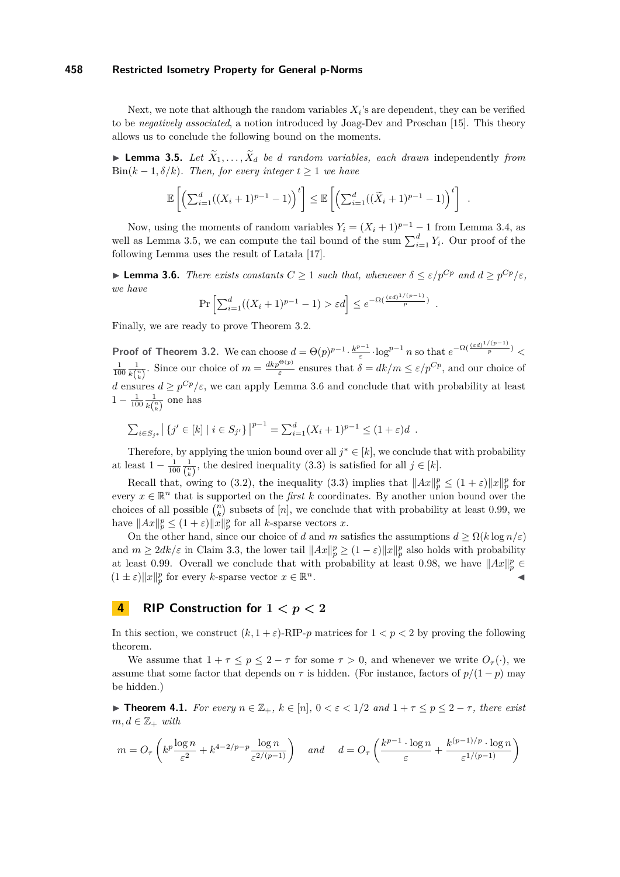Next, we note that although the random variables  $X_i$ 's are dependent, they can be verified to be *negatively associated*, a notion introduced by Joag-Dev and Proschan [\[15\]](#page-9-16). This theory allows us to conclude the following bound on the moments.

<span id="page-7-0"></span> $\blacktriangleright$  **Lemma 3.5.** *Let*  $\tilde{X}_1, \ldots, \tilde{X}_d$  *be d random variables, each drawn* independently *from* Bin( $k - 1$ ,  $\delta/k$ )*. Then, for every integer*  $t > 1$  *we have* 

$$
\mathbb{E}\left[\left(\sum_{i=1}^d((X_i+1)^{p-1}-1)\right)^t\right] \leq \mathbb{E}\left[\left(\sum_{i=1}^d((\widetilde{X}_i+1)^{p-1}-1)\right)^t\right].
$$

Now, using the moments of random variables  $Y_i = (X_i + 1)^{p-1} - 1$  from Lemma [3.4,](#page-6-1) as well as Lemma [3.5,](#page-7-0) we can compute the tail bound of the sum  $\sum_{i=1}^{d} Y_i$ . Our proof of the following Lemma uses the result of Latała [\[17\]](#page-9-19).

<span id="page-7-1"></span>**Example 3.6.** *There exists constants*  $C \geq 1$  *such that, whenever*  $\delta \leq \varepsilon / p^{Cp}$  *and*  $d \geq p^{Cp}/\varepsilon$ *, we have*

$$
\Pr\left[\sum_{i=1}^d ((X_i + 1)^{p-1} - 1) > \varepsilon d\right] \le e^{-\Omega\left(\frac{(\varepsilon d)^{1/(p-1)}}{p}\right)}
$$

*.*

Finally, we are ready to prove Theorem [3.2.](#page-5-1)

**Proof of Theorem [3.2.](#page-5-1)** We can choose  $d = \Theta(p)^{p-1} \cdot \frac{k^{p-1}}{q}$  $\frac{e^{p-1}}{e}$  · log<sup>*p*−1</sup> *n* so that  $e^{-\Omega(\frac{(\varepsilon d)^{1/(p-1)}}{p})}$  <  $\frac{1}{100} \frac{1}{k {n \choose k}}$ . Since our choice of  $m = \frac{d k p^{\Theta(p)}}{\varepsilon}$  ensures that  $\delta = d k/m \le \varepsilon / p^{Cp}$ , and our choice of *d* ensures  $d \geq p^{Cp}/\varepsilon$ , we can apply Lemma [3.6](#page-7-1) and conclude that with probability at least  $1 - \frac{1}{100} \frac{1}{k\binom{n}{k}}$  one has

$$
\sum_{i \in S_{j^*}} \left| \{ j' \in [k] \mid i \in S_{j'} \} \right|^{p-1} = \sum_{i=1}^d (X_i + 1)^{p-1} \leq (1 + \varepsilon) d.
$$

Therefore, by applying the union bound over all  $j^* \in [k]$ , we conclude that with probability at least  $1 - \frac{1}{100} \frac{1}{\binom{n}{k}}$ , the desired inequality [\(3.3\)](#page-6-0) is satisfied for all  $j \in [k]$ .

Recall that, owing to [\(3.2\)](#page-6-2), the inequality [\(3.3\)](#page-6-0) implies that  $||Ax||_p^p \le (1+\varepsilon) ||x||_p^p$  for every  $x \in \mathbb{R}^n$  that is supported on the *first k* coordinates. By another union bound over the choices of all possible  $\binom{n}{k}$  subsets of  $[n]$ , we conclude that with probability at least 0.99, we have  $||Ax||_p^p \le (1+\varepsilon) ||x||_p^p$  for all *k*-sparse vectors *x*.

On the other hand, since our choice of *d* and *m* satisfies the assumptions  $d \geq \Omega(k \log n/\varepsilon)$ and  $m \geq 2dk/\varepsilon$  in Claim [3.3,](#page-5-0) the lower tail  $||Ax||_p^p \geq (1-\varepsilon)||x||_p^p$  also holds with probability at least 0.99. Overall we conclude that with probability at least 0.98, we have  $||Ax||_p^p \in$  $(1 \pm \varepsilon) \|x\|_p^p$  for every *k*-sparse vector  $x \in \mathbb{R}$  $n$ .

# **4 RIP Construction for**  $1 < p < 2$

In this section, we construct  $(k, 1 + \varepsilon)$ -RIP-*p* matrices for  $1 < p < 2$  by proving the following theorem.

We assume that  $1 + \tau \leq p \leq 2 - \tau$  for some  $\tau > 0$ , and whenever we write  $O_{\tau}(\cdot)$ , we assume that some factor that depends on  $\tau$  is hidden. (For instance, factors of  $p/(1-p)$  may be hidden.)

**► Theorem 4.1.** *For every*  $n \in \mathbb{Z}_+$ ,  $k \in [n]$ ,  $0 < \varepsilon < 1/2$  and  $1 + \tau \leq p \leq 2 - \tau$ , *there exist*  $m, d \in \mathbb{Z}_+$  *with* 

$$
m = O_{\tau} \left( k^p \frac{\log n}{\varepsilon^2} + k^{4-2/p-p} \frac{\log n}{\varepsilon^{2/(p-1)}} \right) \quad \text{and} \quad d = O_{\tau} \left( \frac{k^{p-1} \cdot \log n}{\varepsilon} + \frac{k^{(p-1)/p} \cdot \log n}{\varepsilon^{1/(p-1)}} \right)
$$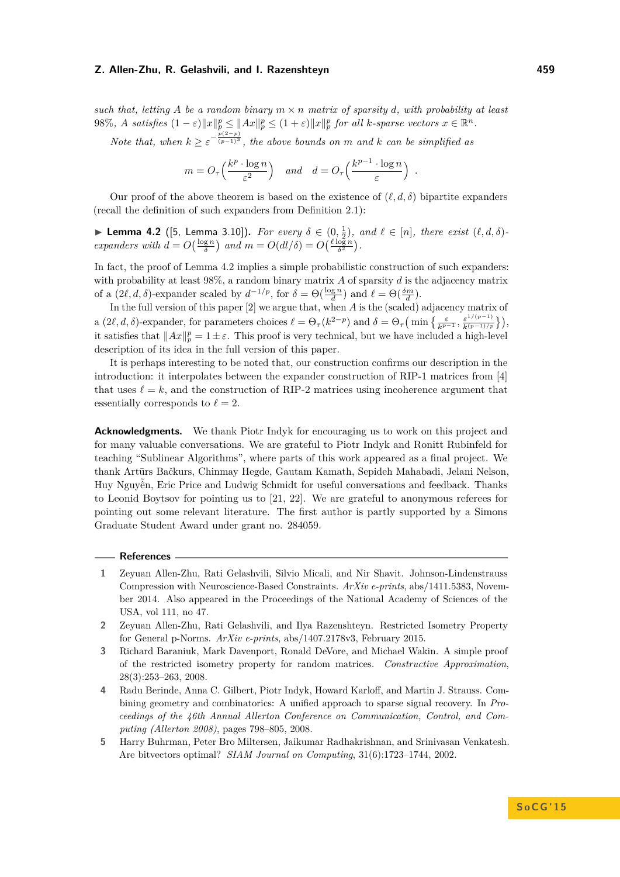such that, letting A be a random binary  $m \times n$  matrix of sparsity *d*, with probability at least 98%, A satisfies  $(1 - \varepsilon) ||x||_p^p \le ||Ax||_p^p \le (1 + \varepsilon) ||x||_p^p$  for all k-sparse vectors  $x \in \mathbb{R}^n$ .

*Note that, when*  $k \geq \varepsilon^{-\frac{p(2-p)}{(p-1)^3}}$ , the above bounds on *m* and *k* can be simplified as

$$
m = O_{\tau}\left(\frac{k^p \cdot \log n}{\varepsilon^2}\right)
$$
 and  $d = O_{\tau}\left(\frac{k^{p-1} \cdot \log n}{\varepsilon}\right)$ .

Our proof of the above theorem is based on the existence of  $(\ell, d, \delta)$  bipartite expanders (recall the definition of such expanders from Definition [2.1\)](#page-4-1):

<span id="page-8-5"></span>► **Lemma 4.2** ([\[5,](#page-8-4) Lemma 3.10]). *For every*  $\delta \in (0, \frac{1}{2})$ *, and*  $\ell \in [n]$ *, there exist*  $(\ell, d, \delta)$ *expanders with*  $d = O\left(\frac{\log n}{\delta}\right)$  *and*  $m = O(dl/\delta) = O\left(\frac{\ell \log n}{\delta^2}\right)$ .

In fact, the proof of Lemma [4.2](#page-8-5) implies a simple probabilistic construction of such expanders: with probability at least 98%, a random binary matrix *A* of sparsity *d* is the adjacency matrix of a  $(2\ell, d, \delta)$ -expander scaled by  $d^{-1/p}$ , for  $\delta = \Theta(\frac{\log n}{d})$  and  $\ell = \Theta(\frac{\delta m}{d})$ .

In the full version of this paper [\[2\]](#page-8-0) we argue that, when *A* is the (scaled) adjacency matrix of a  $(2\ell, d, \delta)$ -expander, for parameters choices  $\ell = \Theta_\tau(k^{2-p})$  and  $\delta = \Theta_\tau\left(\min\left\{\frac{\varepsilon}{k^{p-1}}, \frac{\varepsilon^{1/(p-1)}}{k^{(p-1)/p}}\right\}\right)$ , it satisfies that  $||Ax||_p^p = 1 \pm \varepsilon$ . This proof is very technical, but we have included a high-level description of its idea in the full version of this paper.

It is perhaps interesting to be noted that, our construction confirms our description in the introduction: it interpolates between the expander construction of RIP-1 matrices from [\[4\]](#page-8-1) that uses  $\ell = k$ , and the construction of RIP-2 matrices using incoherence argument that essentially corresponds to  $\ell = 2$ .

**Acknowledgments.** We thank Piotr Indyk for encouraging us to work on this project and for many valuable conversations. We are grateful to Piotr Indyk and Ronitt Rubinfeld for teaching "Sublinear Algorithms", where parts of this work appeared as a final project. We thank Artūrs Bačkurs, Chinmay Hegde, Gautam Kamath, Sepideh Mahabadi, Jelani Nelson, Huy Nguyễn, Eric Price and Ludwig Schmidt for useful conversations and feedback. Thanks to Leonid Boytsov for pointing us to [\[21,](#page-9-17) [22\]](#page-9-18). We are grateful to anonymous referees for pointing out some relevant literature. The first author is partly supported by a Simons Graduate Student Award under grant no. 284059.

## **References**

- <span id="page-8-3"></span>**1** Zeyuan Allen-Zhu, Rati Gelashvili, Silvio Micali, and Nir Shavit. Johnson-Lindenstrauss Compression with Neuroscience-Based Constraints. *ArXiv e-prints*, abs/1411.5383, November 2014. Also appeared in the Proceedings of the National Academy of Sciences of the USA, vol 111, no 47.
- <span id="page-8-0"></span>**2** Zeyuan Allen-Zhu, Rati Gelashvili, and Ilya Razenshteyn. Restricted Isometry Property for General p-Norms. *ArXiv e-prints*, abs/1407.2178v3, February 2015.
- <span id="page-8-2"></span>**3** Richard Baraniuk, Mark Davenport, Ronald DeVore, and Michael Wakin. A simple proof of the restricted isometry property for random matrices. *Constructive Approximation*, 28(3):253–263, 2008.
- <span id="page-8-1"></span>**4** Radu Berinde, Anna C. Gilbert, Piotr Indyk, Howard Karloff, and Martin J. Strauss. Combining geometry and combinatorics: A unified approach to sparse signal recovery. In *Proceedings of the 46th Annual Allerton Conference on Communication, Control, and Computing (Allerton 2008)*, pages 798–805, 2008.
- <span id="page-8-4"></span>**5** Harry Buhrman, Peter Bro Miltersen, Jaikumar Radhakrishnan, and Srinivasan Venkatesh. Are bitvectors optimal? *SIAM Journal on Computing*, 31(6):1723–1744, 2002.